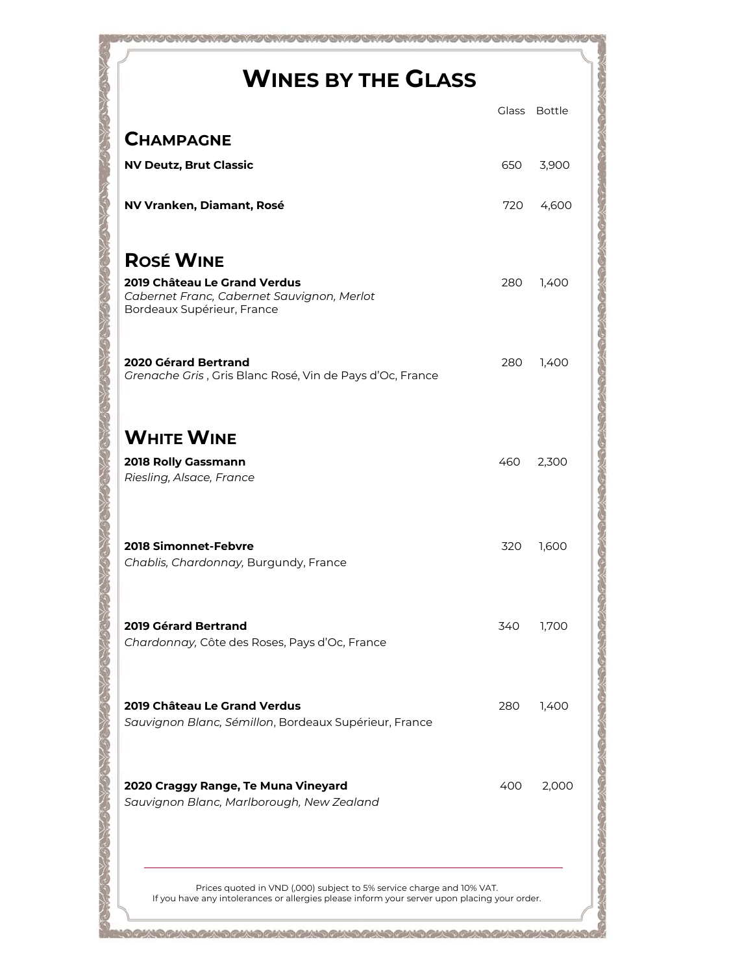|                                                                                                                                                                       |       | Glass Bottle |
|-----------------------------------------------------------------------------------------------------------------------------------------------------------------------|-------|--------------|
| <b>CHAMPAGNE</b>                                                                                                                                                      |       |              |
| <b>NV Deutz, Brut Classic</b>                                                                                                                                         | 650   | 3,900        |
| NV Vranken, Diamant, Rosé                                                                                                                                             | 720   | 4,600        |
| <b>ROSÉ WINE</b>                                                                                                                                                      |       |              |
| 2019 Château Le Grand Verdus<br>Cabernet Franc, Cabernet Sauvignon, Merlot<br>Bordeaux Supérieur, France                                                              | 280   | 1,400        |
| 2020 Gérard Bertrand<br>Grenache Gris, Gris Blanc Rosé, Vin de Pays d'Oc, France                                                                                      | 280   | 1,400        |
| <b>WHITE WINE</b><br>2018 Rolly Gassmann                                                                                                                              | 460 - | 2,300        |
| Riesling, Alsace, France<br>2018 Simonnet-Febvre<br>Chablis, Chardonnay, Burgundy, France                                                                             | 320   | 1,600        |
| 2019 Gérard Bertrand<br>Chardonnay, Côte des Roses, Pays d'Oc, France                                                                                                 | 340   | 1,700        |
| 2019 Château Le Grand Verdus<br>Sauvignon Blanc, Sémillon, Bordeaux Supérieur, France                                                                                 | 280   | 1,400        |
| 2020 Craggy Range, Te Muna Vineyard<br>Sauvignon Blanc, Marlborough, New Zealand                                                                                      | 400   | 2,000        |
| Prices quoted in VND (,000) subject to 5% service charge and 10% VAT.<br>If you have any intolerances or allergies please inform your server upon placing your order. |       |              |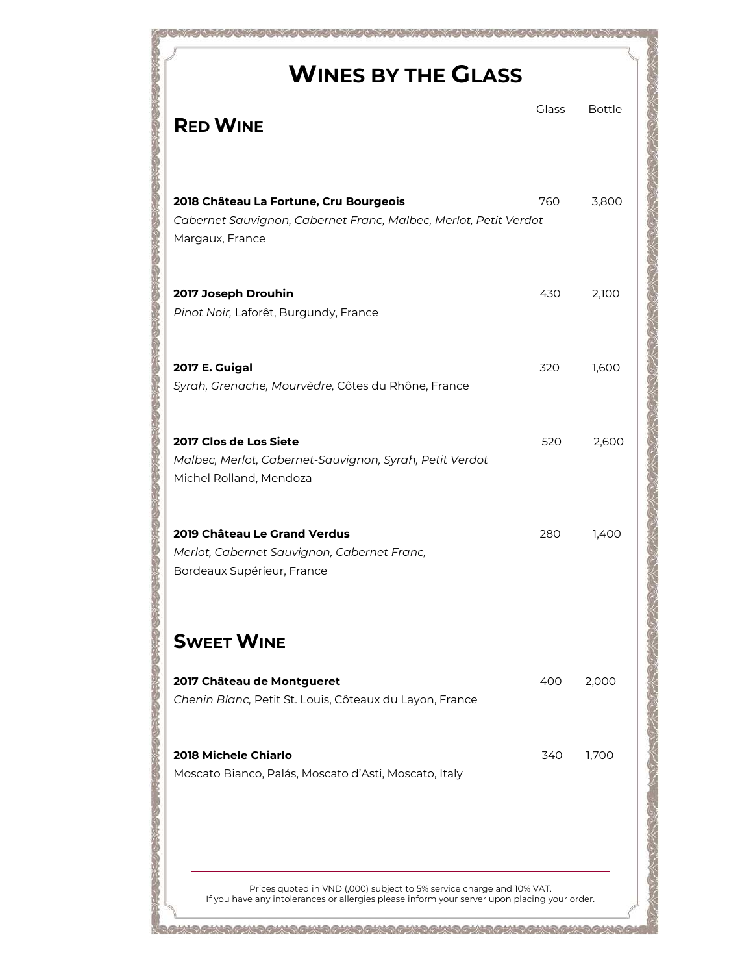| <b>WINES BY THE GLASS</b>                                                                                                     |              |               |
|-------------------------------------------------------------------------------------------------------------------------------|--------------|---------------|
| <b>RED WINE</b>                                                                                                               | <b>Glass</b> | <b>Bottle</b> |
| 2018 Château La Fortune, Cru Bourgeois<br>Cabernet Sauvignon, Cabernet Franc, Malbec, Merlot, Petit Verdot<br>Margaux, France | 760          | 3,800         |
| 2017 Joseph Drouhin<br>Pinot Noir, Laforêt, Burgundy, France                                                                  | 430          | 2,100         |
| <b>2017 E. Guigal</b><br>Syrah, Grenache, Mourvèdre, Côtes du Rhône, France                                                   | 320          | 1,600         |
| 2017 Clos de Los Siete<br>Malbec, Merlot, Cabernet-Sauvignon, Syrah, Petit Verdot<br>Michel Rolland, Mendoza                  | 520          | 2,600         |
| 2019 Château Le Grand Verdus<br>Merlot, Cabernet Sauvignon, Cabernet Franc,<br>Bordeaux Supérieur, France                     | 280          | 1,400         |
| <b>SWEET WINE</b>                                                                                                             |              |               |
| 2017 Château de Montgueret<br>Chenin Blanc, Petit St. Louis, Côteaux du Layon, France                                         | 400          | 2,000         |
| 2018 Michele Chiarlo<br>Moscato Bianco, Palás, Moscato d'Asti, Moscato, Italy                                                 | 340          | 1,700         |
|                                                                                                                               |              |               |

If you have any intolerances or allergies please inform your server upon placing your order.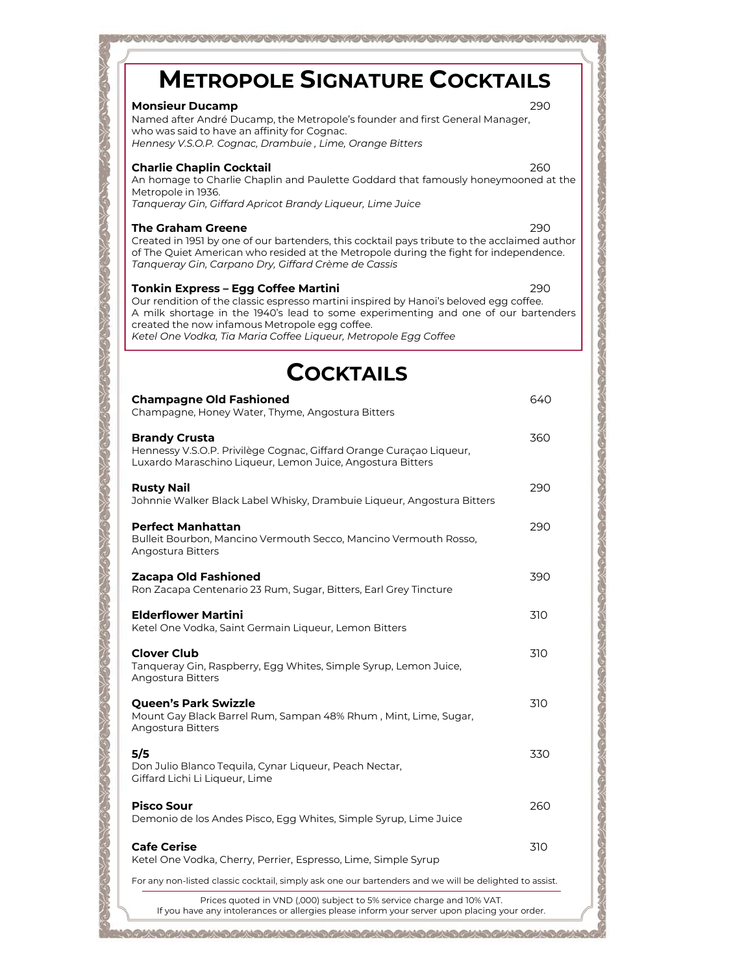| <b>METROPOLE SIGNATURE COCKTAILS</b>                                                                                                                                                  |     |
|---------------------------------------------------------------------------------------------------------------------------------------------------------------------------------------|-----|
| <b>Monsieur Ducamp</b>                                                                                                                                                                | 290 |
| Named after André Ducamp, the Metropole's founder and first General Manager,                                                                                                          |     |
| who was said to have an affinity for Cognac.                                                                                                                                          |     |
| Hennesy V.S.O.P. Cognac, Drambuie, Lime, Orange Bitters                                                                                                                               |     |
| <b>Charlie Chaplin Cocktail</b>                                                                                                                                                       | 260 |
| An homage to Charlie Chaplin and Paulette Goddard that famously honeymooned at the                                                                                                    |     |
| Metropole in 1936.<br>Tangueray Gin, Giffard Apricot Brandy Liqueur, Lime Juice                                                                                                       |     |
|                                                                                                                                                                                       |     |
| <b>The Graham Greene</b>                                                                                                                                                              | 290 |
| Created in 1951 by one of our bartenders, this cocktail pays tribute to the acclaimed author<br>of The Quiet American who resided at the Metropole during the fight for independence. |     |
| Tangueray Gin, Carpano Dry, Giffard Crème de Cassis                                                                                                                                   |     |
|                                                                                                                                                                                       | 290 |
| Tonkin Express – Egg Coffee Martini<br>Our rendition of the classic espresso martini inspired by Hanoi's beloved egg coffee.                                                          |     |
| A milk shortage in the 1940's lead to some experimenting and one of our bartenders                                                                                                    |     |
| created the now infamous Metropole egg coffee.<br>Ketel One Vodka, Tia Maria Coffee Liqueur, Metropole Egg Coffee                                                                     |     |
|                                                                                                                                                                                       |     |
| <b>COCKTAILS</b>                                                                                                                                                                      |     |
| <b>Champagne Old Fashioned</b>                                                                                                                                                        | 640 |
| Champagne, Honey Water, Thyme, Angostura Bitters                                                                                                                                      |     |
|                                                                                                                                                                                       |     |
| <b>Brandy Crusta</b><br>Hennessy V.S.O.P. Privilège Cognac, Giffard Orange Curaçao Liqueur,                                                                                           | 360 |
| Luxardo Maraschino Liqueur, Lemon Juice, Angostura Bitters                                                                                                                            |     |
|                                                                                                                                                                                       |     |
| <b>Rusty Nail</b>                                                                                                                                                                     | 290 |
| Johnnie Walker Black Label Whisky, Drambuie Liqueur, Angostura Bitters                                                                                                                |     |
| <b>Perfect Manhattan</b>                                                                                                                                                              | 290 |
| Bulleit Bourbon, Mancino Vermouth Secco, Mancino Vermouth Rosso,                                                                                                                      |     |
| Angostura Bitters                                                                                                                                                                     |     |
| Zacapa Old Fashioned                                                                                                                                                                  | 390 |
| Ron Zacapa Centenario 23 Rum, Sugar, Bitters, Earl Grey Tincture                                                                                                                      |     |
|                                                                                                                                                                                       |     |
| <b>Elderflower Martini</b><br>Ketel One Vodka, Saint Germain Liqueur, Lemon Bitters                                                                                                   | 310 |
|                                                                                                                                                                                       |     |
| <b>Clover Club</b>                                                                                                                                                                    | 310 |
| Tanqueray Gin, Raspberry, Egg Whites, Simple Syrup, Lemon Juice,                                                                                                                      |     |
| Angostura Bitters                                                                                                                                                                     |     |
| <b>Queen's Park Swizzle</b>                                                                                                                                                           | 310 |
| Mount Gay Black Barrel Rum, Sampan 48% Rhum, Mint, Lime, Sugar,                                                                                                                       |     |
| Angostura Bitters                                                                                                                                                                     |     |
| 5/5                                                                                                                                                                                   | 330 |
| Don Julio Blanco Tequila, Cynar Liqueur, Peach Nectar,                                                                                                                                |     |
| Giffard Lichi Li Liqueur, Lime                                                                                                                                                        |     |
|                                                                                                                                                                                       |     |
| <b>Pisco Sour</b><br>Demonio de los Andes Pisco, Egg Whites, Simple Syrup, Lime Juice                                                                                                 | 260 |
|                                                                                                                                                                                       |     |
| <b>Cafe Cerise</b>                                                                                                                                                                    | 310 |
| Ketel One Vodka, Cherry, Perrier, Espresso, Lime, Simple Syrup                                                                                                                        |     |
| For any non-listed classic cocktail, simply ask one our bartenders and we will be delighted to assist.                                                                                |     |
| Prices quoted in VND (,000) subject to 5% service charge and 10% VAT.                                                                                                                 |     |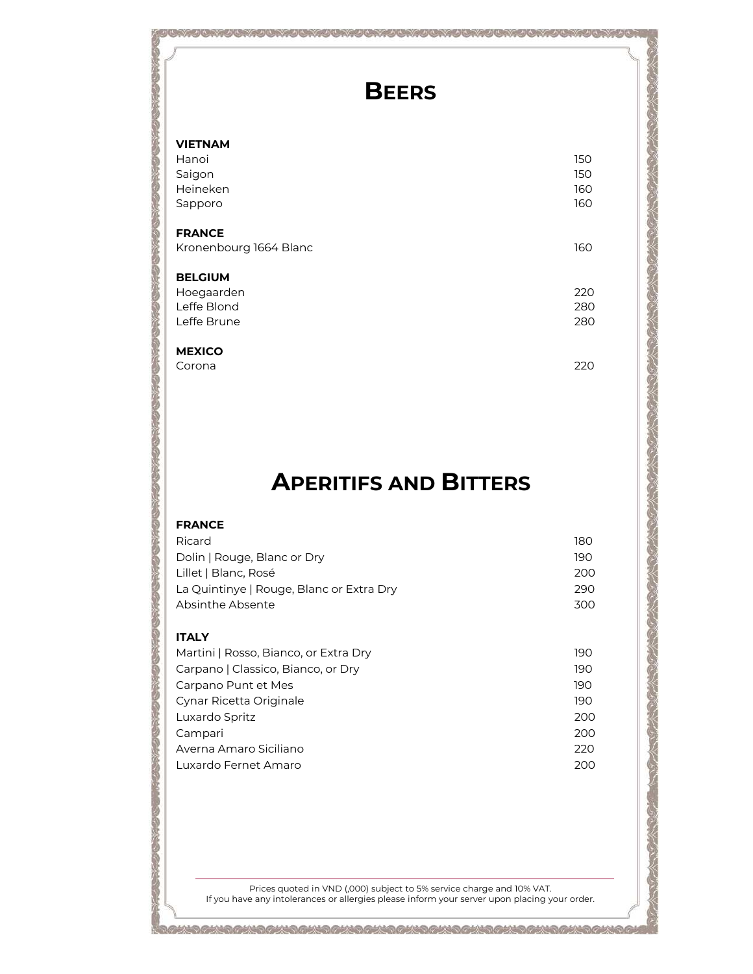### **BEERS**

### **VIETNAM** Hanoi 150 Saigon 150 Heineken 160 Sapporo 160 **FRANCE** Kronenbourg 1664 Blanc 160 and 160 and 160 and 160 and 160 and 160 and 160 and 160 and 160 and 160 and 160 and 160 and 160 and 160 and 160 and 160 and 160 and 160 and 160 and 160 and 160 and 160 and 160 and 160 and 160 and **BELGIUM** Hoegaarden 220 Leffe Blond 280 Leffe Brune 280 **MEXICO** Corona 220

# **APERITIFS AND BITTERS**

### **FRANCE** Ricard 180 **Ricard 180 External Act of the United States** 180 **Page 180**

| Dolin   Rouge, Blanc or Dry              | 190 |
|------------------------------------------|-----|
| Lillet   Blanc, Rosé                     | 200 |
| La Quintinye   Rouge, Blanc or Extra Dry | 290 |
| Absinthe Absente                         | 300 |

### **ITALY**

CONTRACTOR

**SOLONOMIA** 

| Martini   Rosso, Bianco, or Extra Dry | 190 |
|---------------------------------------|-----|
| Carpano   Classico, Bianco, or Dry    | 190 |
| Carpano Punt et Mes                   | 190 |
| Cynar Ricetta Originale               | 190 |
| Luxardo Spritz                        | 200 |
| Campari                               | 200 |
| Averna Amaro Siciliano                | 220 |
| Luxardo Fernet Amaro                  | 200 |
|                                       |     |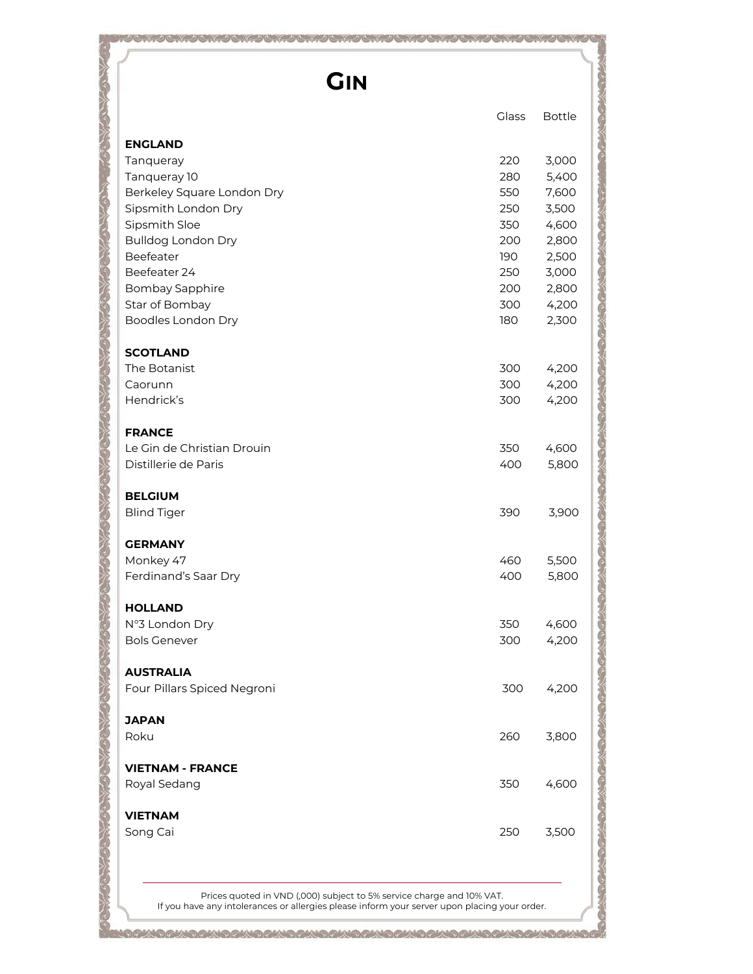| <b>ENGLAND</b>              |     |       |
|-----------------------------|-----|-------|
|                             |     |       |
| Tanqueray                   | 220 | 3,000 |
| Tanqueray 10                | 280 | 5,400 |
| Berkeley Square London Dry  | 550 | 7,600 |
| Sipsmith London Dry         | 250 | 3,500 |
| Sipsmith Sloe               | 350 | 4,600 |
| <b>Bulldog London Dry</b>   | 200 | 2,800 |
| Beefeater                   | 190 | 2,500 |
| Beefeater 24                | 250 | 3,000 |
| Bombay Sapphire             | 200 | 2,800 |
| Star of Bombay              | 300 | 4,200 |
| Boodles London Dry          | 180 | 2,300 |
| <b>SCOTLAND</b>             |     |       |
| The Botanist                | 300 | 4,200 |
| Caorunn                     | 300 | 4,200 |
| Hendrick's                  | 300 | 4,200 |
| <b>FRANCE</b>               |     |       |
| Le Gin de Christian Drouin  | 350 | 4,600 |
| Distillerie de Paris        | 400 | 5,800 |
|                             |     |       |
| <b>BELGIUM</b>              |     |       |
| <b>Blind Tiger</b>          | 390 | 3,900 |
| <b>GERMANY</b>              |     |       |
| Monkey 47                   | 460 | 5,500 |
| Ferdinand's Saar Dry        | 400 | 5,800 |
| <b>HOLLAND</b>              |     |       |
| Nº3 London Dry              | 350 | 4,600 |
| <b>Bols Genever</b>         | 300 | 4,200 |
| <b>AUSTRALIA</b>            |     |       |
| Four Pillars Spiced Negroni | 300 | 4,200 |
|                             |     |       |
| <b>JAPAN</b>                |     |       |
| Roku                        | 260 | 3,800 |
| <b>VIETNAM - FRANCE</b>     |     |       |
| Royal Sedang                | 350 | 4,600 |
| <b>VIETNAM</b>              |     |       |
| Song Cai                    | 250 | 3,500 |

THE SERVE SERVED UNKNOWN UNKNOWN STATISTICS OF A SERVED UNKNOWN TO THE SERVED USE OF

If you have any intolerances or allergies please inform your server upon placing your order.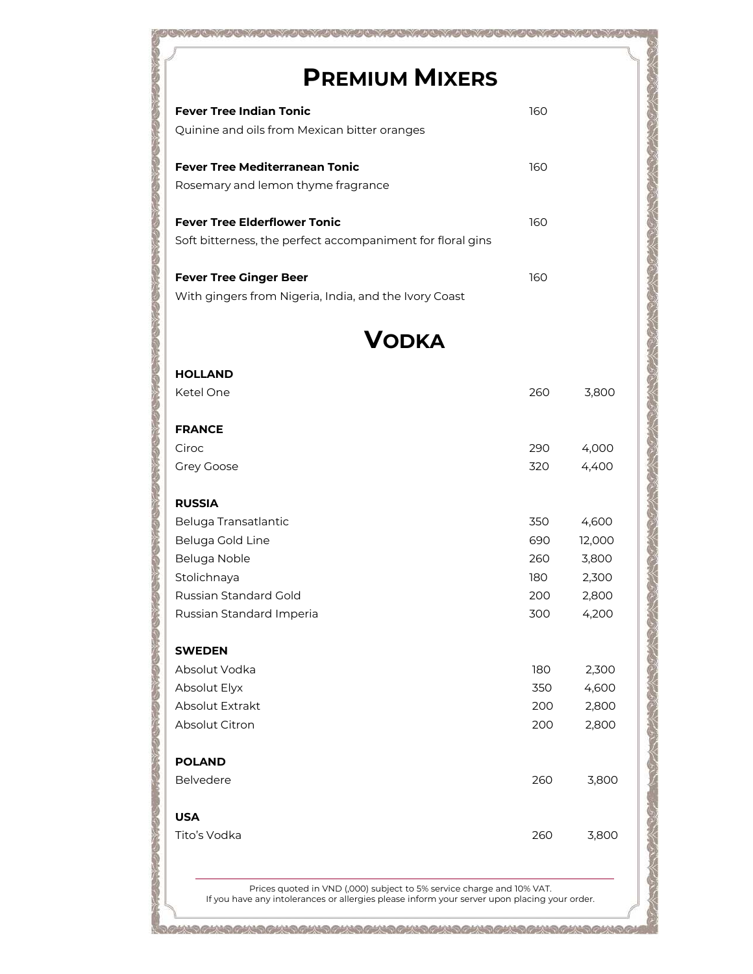### **PREMIUM MIXERS**

| <b>Fever Tree Indian Tonic</b><br>Quinine and oils from Mexican bitter oranges                    | 160 |
|---------------------------------------------------------------------------------------------------|-----|
| <b>Fever Tree Mediterranean Tonic</b><br>Rosemary and lemon thyme fragrance                       | 160 |
| <b>Fever Tree Elderflower Tonic</b><br>Soft bitterness, the perfect accompaniment for floral gins | 160 |
| <b>Fever Tree Ginger Beer</b><br>With gingers from Nigeria, India, and the Ivory Coast            | 160 |

**DOM: YES** 

**VODKA**

Company of the Company

| <b>HOLLAND</b>           |     |        |
|--------------------------|-----|--------|
| Ketel One                | 260 | 3,800  |
|                          |     |        |
| <b>FRANCE</b>            |     |        |
| Ciroc                    | 290 | 4,000  |
| <b>Grey Goose</b>        | 320 | 4,400  |
|                          |     |        |
| <b>RUSSIA</b>            |     |        |
| Beluga Transatlantic     | 350 | 4,600  |
| Beluga Gold Line         | 690 | 12,000 |
| Beluga Noble             | 260 | 3,800  |
| Stolichnaya              | 180 | 2,300  |
| Russian Standard Gold    | 200 | 2,800  |
| Russian Standard Imperia | 300 | 4,200  |
|                          |     |        |
| <b>SWEDEN</b>            |     |        |
| Absolut Vodka            | 180 | 2,300  |
| Absolut Elyx             | 350 | 4,600  |
| Absolut Extrakt          | 200 | 2,800  |
| Absolut Citron           | 200 | 2,800  |
|                          |     |        |
| <b>POLAND</b>            |     |        |
| Belvedere                | 260 | 3,800  |
|                          |     |        |
| <b>USA</b>               |     |        |
| Tito's Vodka             | 260 | 3,800  |
|                          |     |        |
|                          |     |        |

Prices quoted in VND (,000) subject to 5% service charge and 10% VAT.

If you have any intolerances or allergies please inform your server upon placing your order.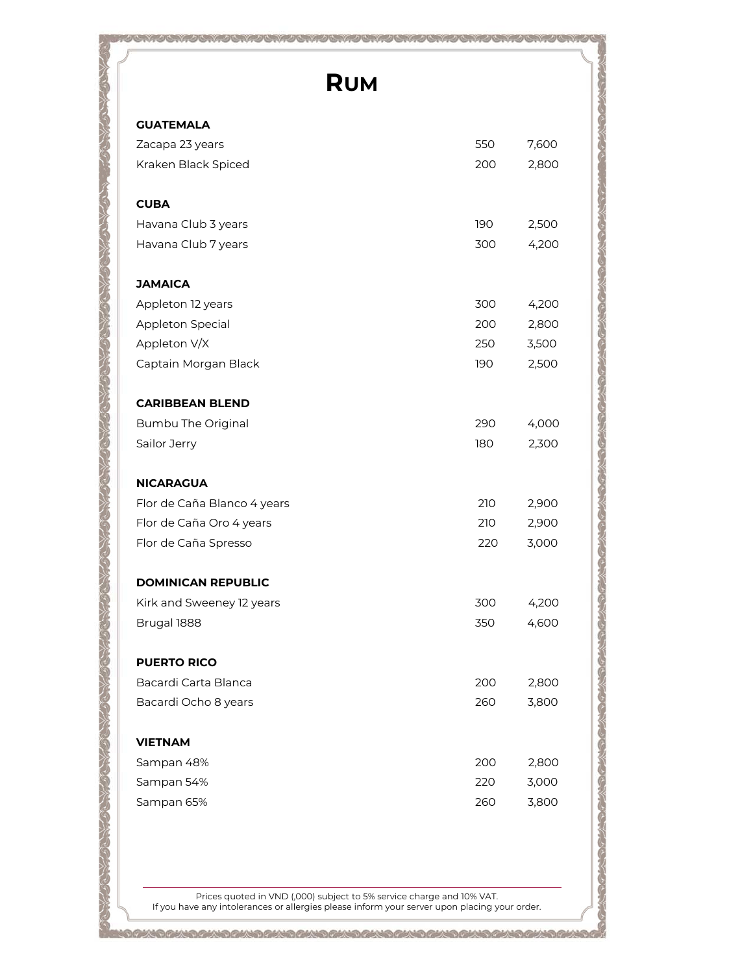# **RUM**

CONCERNO CONCERNO CONCERNO CONCERNO CONCERNO CONCERNO CONCERNO CONCERNO CONCERNO CO

| <b>GUATEMALA</b>                         |            |                |  |
|------------------------------------------|------------|----------------|--|
| Zacapa 23 years                          | 550        | 7,600          |  |
| Kraken Black Spiced                      | 200        | 2,800          |  |
| <b>CUBA</b>                              |            |                |  |
| Havana Club 3 years                      | 190        | 2,500          |  |
| Havana Club 7 years                      | 300        | 4,200          |  |
| <b>JAMAICA</b>                           |            |                |  |
| Appleton 12 years                        | 300        | 4,200          |  |
| Appleton Special                         | 200        | 2,800          |  |
| Appleton V/X                             | 250        | 3,500          |  |
| Captain Morgan Black                     | 190        | 2,500          |  |
| <b>CARIBBEAN BLEND</b>                   |            |                |  |
| <b>Bumbu The Original</b>                | 290        | 4,000          |  |
| Sailor Jerry                             | 180        | 2,300          |  |
| <b>NICARAGUA</b>                         |            |                |  |
| Flor de Caña Blanco 4 years              | 210        | 2,900          |  |
| Flor de Caña Oro 4 years                 | 210        | 2,900          |  |
| Flor de Caña Spresso                     | 220        | 3,000          |  |
|                                          |            |                |  |
| <b>DOMINICAN REPUBLIC</b>                |            |                |  |
| Kirk and Sweeney 12 years<br>Brugal 1888 | 300<br>350 | 4,200<br>4,600 |  |
|                                          |            |                |  |
|                                          |            |                |  |
| <b>PUERTO RICO</b>                       |            |                |  |
| Bacardi Carta Blanca                     | 200        | 2,800          |  |
| Bacardi Ocho 8 years                     | 260        | 3,800          |  |
| <b>VIETNAM</b>                           |            |                |  |
| Sampan 48%                               | 200        | 2,800          |  |
| Sampan 54%                               | 220        | 3,000          |  |
| Sampan 65%                               | 260        | 3,800          |  |

Prices quoted in VND (,000) subject to 5% service charge and 10% VAT. If you have any intolerances or allergies please inform your server upon placing your order.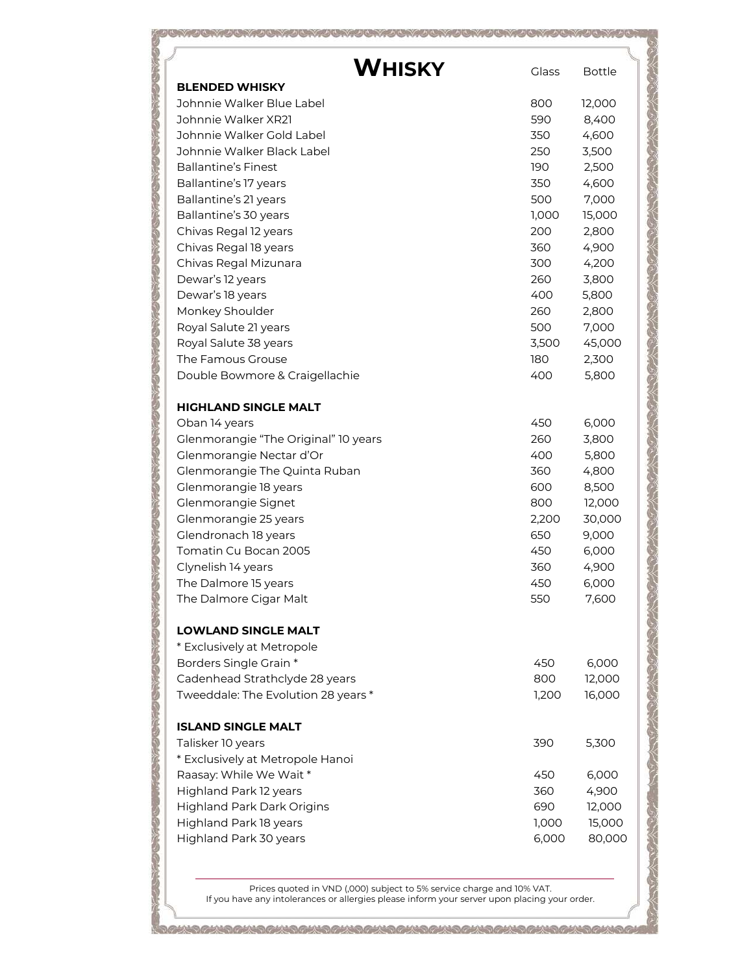| <b>WHISKY</b>                        | <b>Glass</b> | <b>Bottle</b> |
|--------------------------------------|--------------|---------------|
| <b>BLENDED WHISKY</b>                |              |               |
| Johnnie Walker Blue Label            | 800          | 12,000        |
| Johnnie Walker XR21                  | 590          | 8,400         |
| Johnnie Walker Gold Label            | 350          | 4,600         |
| Johnnie Walker Black Label           | 250          | 3,500         |
| <b>Ballantine's Finest</b>           | 190          | 2,500         |
| Ballantine's 17 years                | 350          | 4,600         |
| Ballantine's 21 years                | 500          | 7,000         |
| Ballantine's 30 years                | 1,000        | 15,000        |
| Chivas Regal 12 years                | 200          | 2,800         |
| Chivas Regal 18 years                | 360          | 4,900         |
| Chivas Regal Mizunara                | 300          | 4,200         |
| Dewar's 12 years                     | 260          | 3,800         |
| Dewar's 18 years                     | 400          | 5,800         |
| Monkey Shoulder                      | 260          | 2,800         |
| Royal Salute 21 years                | 500          | 7,000         |
| Royal Salute 38 years                | 3,500        | 45,000        |
| The Famous Grouse                    | 180          | 2,300         |
| Double Bowmore & Craigellachie       | 400          | 5,800         |
|                                      |              |               |
| <b>HIGHLAND SINGLE MALT</b>          |              |               |
| Oban 14 years                        | 450          | 6,000         |
| Glenmorangie "The Original" 10 years | 260          | 3,800         |
| Glenmorangie Nectar d'Or             | 400          | 5,800         |
| Glenmorangie The Quinta Ruban        | 360          | 4,800         |
| Glenmorangie 18 years                | 600          | 8,500         |
| Glenmorangie Signet                  | 800          | 12,000        |
| Glenmorangie 25 years                | 2,200        | 30,000        |
| Glendronach 18 years                 | 650          | 9,000         |
| Tomatin Cu Bocan 2005                | 450          | 6,000         |
| Clynelish 14 years                   | 360          | 4,900         |
| The Dalmore 15 years                 | 450          | 6,000         |
| The Dalmore Cigar Malt               | 550          | 7,600         |
|                                      |              |               |
| <b>LOWLAND SINGLE MALT</b>           |              |               |
| * Exclusively at Metropole           |              |               |
| Borders Single Grain *               | 450          | 6,000         |
| Cadenhead Strathclyde 28 years       | 800          | 12,000        |
| Tweeddale: The Evolution 28 years *  | 1,200        | 16,000        |
|                                      |              |               |
| <b>ISLAND SINGLE MALT</b>            |              |               |
| Talisker 10 years                    | 390          | 5,300         |
| * Exclusively at Metropole Hanoi     |              |               |
| Raasay: While We Wait *              | 450          | 6,000         |
| Highland Park 12 years               | 360          | 4,900         |
| <b>Highland Park Dark Origins</b>    | 690          | 12,000        |
| Highland Park 18 years               | 1,000        | 15,000        |
| Highland Park 30 years               | 6,000        | 80,000        |
|                                      |              |               |

**PARA DE TRANSICA DE TRANSICA DE TRANSICA DE TRANSICA DE TRANSICA DE TRANSICA DE TRANSICA DE TRANSICA DE TRANSI** 

WORKS RASHARD RASHAS RASHAS RASHAS RASHAS RASHAS RASHASHAS RASHA

Prices quoted in VND (,000) subject to 5% service charge and 10% VAT. If you have any intolerances or allergies please inform your server upon placing your order.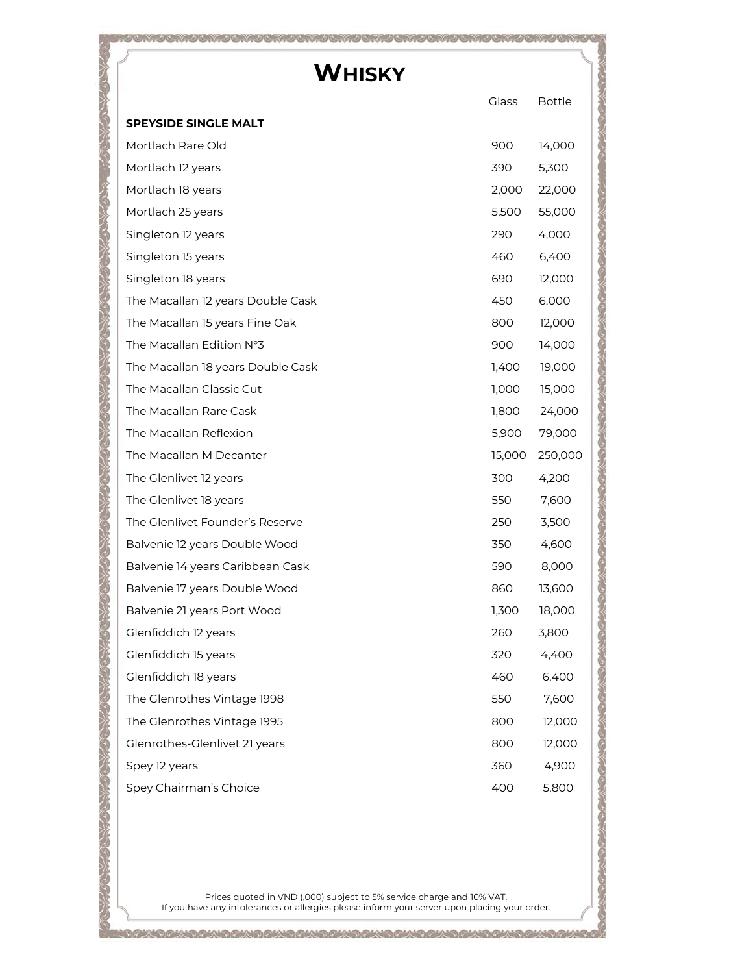# **WHISKY**

|                                   | Glass  | <b>Bottle</b> |
|-----------------------------------|--------|---------------|
| <b>SPEYSIDE SINGLE MALT</b>       |        |               |
| Mortlach Rare Old                 | 900    | 14,000        |
| Mortlach 12 years                 | 390    | 5,300         |
| Mortlach 18 years                 | 2,000  | 22,000        |
| Mortlach 25 years                 | 5,500  | 55,000        |
| Singleton 12 years                | 290    | 4,000         |
| Singleton 15 years                | 460    | 6,400         |
| Singleton 18 years                | 690    | 12,000        |
| The Macallan 12 years Double Cask | 450    | 6,000         |
| The Macallan 15 years Fine Oak    | 800    | 12,000        |
| The Macallan Edition N°3          | 900    | 14,000        |
| The Macallan 18 years Double Cask | 1,400  | 19,000        |
| The Macallan Classic Cut          | 1,000  | 15,000        |
| The Macallan Rare Cask            | 1,800  | 24,000        |
| The Macallan Reflexion            | 5,900  | 79,000        |
| The Macallan M Decanter           | 15,000 | 250,000       |
|                                   |        |               |
| The Glenlivet 12 years            | 300    | 4,200         |
| The Glenlivet 18 years            | 550    | 7,600         |
| The Glenlivet Founder's Reserve   | 250    | 3,500         |
| Balvenie 12 years Double Wood     | 350    | 4,600         |
| Balvenie 14 years Caribbean Cask  | 590    | 8,000         |
| Balvenie 17 years Double Wood     | 860    | 13,600        |
| Balvenie 21 years Port Wood       | 1,300  | 18,000        |
| Glenfiddich 12 years              | 260    | 3,800         |
| Glenfiddich 15 years              | 320    | 4,400         |
| Glenfiddich 18 years              | 460    | 6,400         |
| The Glenrothes Vintage 1998       | 550    | 7,600         |
| The Glenrothes Vintage 1995       | 800    | 12,000        |
| Glenrothes-Glenlivet 21 years     | 800    | 12,000        |
| Spey 12 years                     | 360    | 4,900         |

**CONTRACTOR** 

LOWOON ON ON COMONADEM STREET

Prices quoted in VND (,000) subject to 5% service charge and 10% VAT. If you have any intolerances or allergies please inform your server upon placing your order.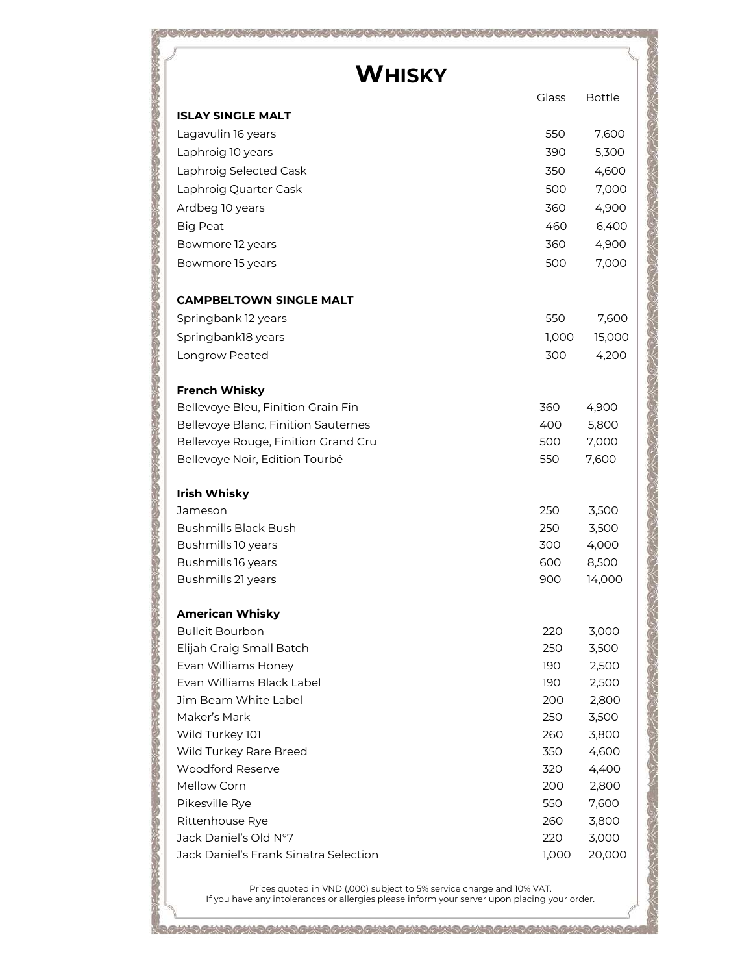# **WHISKY**

a de la porta de la porta de la porta de la porta de la porta de la porta de la porta de la porta de la

19 GA 19 GA 19 GA 19 GA 19 GA 19 GA 19 GA 19 GA 19 GA 19 GA 19 GA 19 GA 19 GA 19 GA 19 G

|                                                 | Glass      | <b>Bottle</b>  |
|-------------------------------------------------|------------|----------------|
| <b>ISLAY SINGLE MALT</b>                        |            |                |
| Lagavulin 16 years                              | 550        | 7,600          |
| Laphroig 10 years                               | 390        | 5,300          |
| Laphroig Selected Cask                          | 350        | 4,600          |
| Laphroig Quarter Cask                           | 500        | 7,000          |
| Ardbeg 10 years                                 | 360        | 4,900          |
| <b>Big Peat</b>                                 | 460        | 6,400          |
| Bowmore 12 years                                | 360        | 4,900          |
| Bowmore 15 years                                | 500        | 7,000          |
|                                                 |            |                |
| <b>CAMPBELTOWN SINGLE MALT</b>                  |            |                |
| Springbank 12 years                             | 550        | 7,600          |
| Springbank18 years                              | 1,000      | 15,000         |
| Longrow Peated                                  | 300        | 4,200          |
|                                                 |            |                |
| <b>French Whisky</b>                            |            |                |
| Bellevoye Bleu, Finition Grain Fin              | 360        | 4,900          |
| Bellevoye Blanc, Finition Sauternes             | 400        | 5,800          |
| Bellevoye Rouge, Finition Grand Cru             | 500        | 7,000          |
| Bellevoye Noir, Edition Tourbé                  | 550        | 7,600          |
|                                                 |            |                |
| <b>Irish Whisky</b>                             |            |                |
| Jameson                                         | 250        | 3,500          |
| <b>Bushmills Black Bush</b>                     | 250        | 3,500          |
| Bushmills 10 years                              | 300        | 4,000          |
| Bushmills 16 years                              | 600        | 8,500          |
| Bushmills 21 years                              | 900        | 14,000         |
|                                                 |            |                |
| <b>American Whisky</b>                          |            |                |
| <b>Bulleit Bourbon</b>                          | 220        | 3,000          |
| Elijah Craig Small Batch<br>Evan Williams Honey | 250<br>190 | 3,500<br>2,500 |
| Evan Williams Black Label                       | 190        | 2,500          |
| Jim Beam White Label                            | 200        | 2,800          |
| Maker's Mark                                    | 250        | 3,500          |
| Wild Turkey 101                                 | 260        | 3,800          |
| Wild Turkey Rare Breed                          | 350        | 4,600          |
| Woodford Reserve                                | 320        | 4,400          |
| Mellow Corn                                     | 200        | 2,800          |
| Pikesville Rye                                  | 550        | 7,600          |
| Rittenhouse Rye                                 | 260        | 3,800          |
| Jack Daniel's Old N°7                           | 220        | 3,000          |
| Jack Daniel's Frank Sinatra Selection           | 1,000      | 20,000         |
|                                                 |            |                |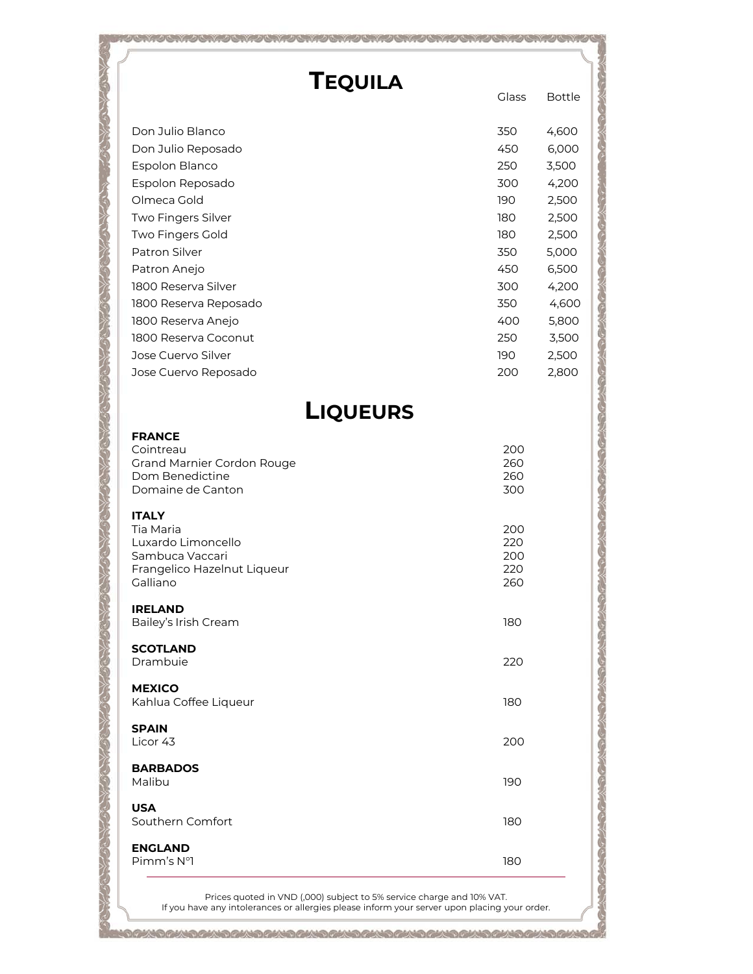| <b>TEQUILA</b>                          | <b>Glass</b> | <b>Bottle</b> |
|-----------------------------------------|--------------|---------------|
| Don Julio Blanco                        | 350          | 4,600         |
| Don Julio Reposado                      | 450          | 6,000         |
| Espolon Blanco                          | 250          | 3,500         |
| Espolon Reposado                        | 300          | 4,200         |
| Olmeca Gold                             | 190          | 2,500         |
| Two Fingers Silver                      | 180          | 2,500         |
| Two Fingers Gold                        | 180          | 2,500         |
| Patron Silver                           | 350          | 5,000         |
| Patron Anejo                            | 450          | 6,500         |
| 1800 Reserva Silver                     | 300          | 4,200         |
| 1800 Reserva Reposado                   | 350          | 4,600         |
| 1800 Reserva Anejo                      | 400          | 5,800         |
| 1800 Reserva Coconut                    | 250          | 3,500         |
| Jose Cuervo Silver                      | 190          | 2,500         |
| Jose Cuervo Reposado                    | 200          | 2,800         |
| <b>LIQUEURS</b>                         |              |               |
| <b>FRANCE</b>                           |              |               |
| Cointreau<br>Grand Marnier Cordon Rouge | 200<br>260   |               |
| Dom Benedictine<br>Domaine de Canton    | 260<br>300   |               |
| <b>ITALY</b>                            |              |               |
| Tia Maria<br>Luxardo Limoncello         | 200<br>220   |               |
| Sambuca Vaccari                         | 200          |               |
| Frangelico Hazelnut Liqueur             | 220          |               |
| Galliano                                | 260          |               |
| <b>IRELAND</b><br>Bailey's Irish Cream  | 180          |               |
| <b>SCOTLAND</b>                         |              |               |
| Drambuie                                | 220          |               |
| <b>MEXICO</b>                           |              |               |
| Kahlua Coffee Liqueur                   | 180          |               |
| <b>SPAIN</b>                            |              |               |
| Licor 43                                | 200          |               |
| <b>BARBADOS</b><br>Malibu               | 190          |               |
| <b>USA</b>                              |              |               |
| Southern Comfort                        | 180          |               |
| <b>ENGLAND</b><br>Pimm's N°1            | 180          |               |

 $\forall$  and  $\forall$  and  $\forall$  and  $\forall$  and  $\forall$  and  $\forall$  and  $\forall$  and  $\forall$  and  $\forall$  and  $\forall$  and  $\forall$  and  $\forall$ 

**CAR YOU ARE** 

If you have any intolerances or allergies please inform your server upon placing your order.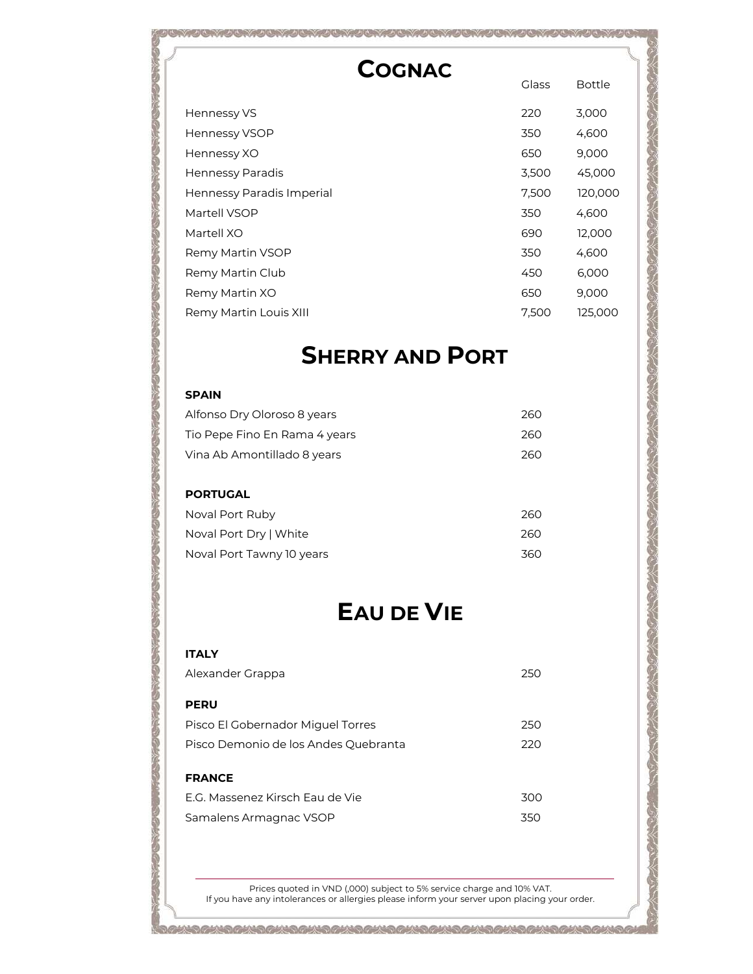| <b>COGNAC</b>             |              |               |
|---------------------------|--------------|---------------|
|                           | <b>Glass</b> | <b>Bottle</b> |
| Hennessy VS               | 220          | 3,000         |
| <b>Hennessy VSOP</b>      | 350          | 4,600         |
| Hennessy XO               | 650          | 9,000         |
| Hennessy Paradis          | 3,500        | 45,000        |
| Hennessy Paradis Imperial | 7,500        | 120,000       |
| Martell VSOP              | 350          | 4,600         |
| Martell XO                | 690          | 12,000        |
| Remy Martin VSOP          | 350          | 4,600         |
| Remy Martin Club          | 450          | 6,000         |
| Remy Martin XO            | 650          | 9,000         |
| Remy Martin Louis XIII    | 7,500        | 125,000       |

### **SHERRY AND PORT**

#### **SPAIN**

| Alfonso Dry Oloroso 8 years   | 260 |
|-------------------------------|-----|
| Tio Pepe Fino En Rama 4 years | 260 |
| Vina Ab Amontillado 8 years   | 260 |
|                               |     |
| <b>PORTUGAL</b>               |     |
| Noval Port Ruby               | 260 |
| Noval Port Dry   White        | 260 |
| Noval Port Tawny 10 years     | 360 |

### **EAU DE VIE**

### **ITALY**

| Alexander Grappa                     | 250 |
|--------------------------------------|-----|
| <b>PERU</b>                          |     |
| Pisco El Gobernador Miquel Torres    | 250 |
| Pisco Demonio de los Andes Quebranta | 220 |
| <b>FRANCE</b>                        |     |
| E.G. Massenez Kirsch Eau de Vie      | 300 |
| Samalens Armagnac VSOP               | 350 |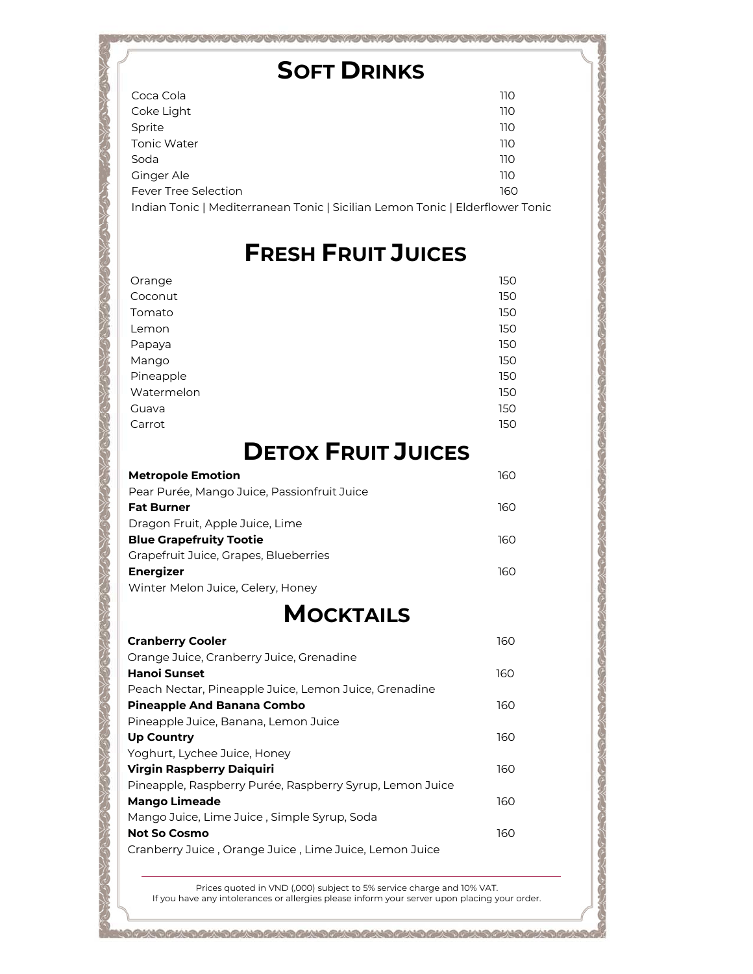### **SOFT DRINKS**

 $D(X, Y, \lambda)$  and  $Y, Y, Y, Z$  and  $Y, Z$ 

| Coca Cola                                                                     | 110 |
|-------------------------------------------------------------------------------|-----|
| Coke Light                                                                    | 110 |
| Sprite                                                                        | 110 |
| Tonic Water                                                                   | 110 |
| Soda                                                                          | 110 |
| Ginger Ale                                                                    | 110 |
| <b>Fever Tree Selection</b>                                                   | 160 |
| Indian Tonic   Mediterranean Tonic   Sicilian Lemon Tonic   Elderflower Tonic |     |

**STANDARD** 

Lister de

### **FRESH FRUIT JUICES**

| Orange     | 150 |
|------------|-----|
| Coconut    | 150 |
| Tomato     | 150 |
| Lemon      | 150 |
| Papaya     | 150 |
| Mango      | 150 |
| Pineapple  | 150 |
| Watermelon | 150 |
| Guava      | 150 |
| Carrot     | 150 |

# **DETOX FRUIT JUICES**

| <b>Metropole Emotion</b>                    | 160 |
|---------------------------------------------|-----|
| Pear Purée, Mango Juice, Passionfruit Juice |     |
| <b>Fat Burner</b>                           | 160 |
| Dragon Fruit, Apple Juice, Lime             |     |
| <b>Blue Grapefruity Tootie</b>              | 160 |
| Grapefruit Juice, Grapes, Blueberries       |     |
| <b>Energizer</b>                            | 160 |
| Winter Melon Juice, Celery, Honey           |     |
|                                             |     |

### **MOCKTAILS**

| <b>Cranberry Cooler</b>                                  | 160 |
|----------------------------------------------------------|-----|
| Orange Juice, Cranberry Juice, Grenadine                 |     |
| Hanoi Sunset                                             | 160 |
| Peach Nectar, Pineapple Juice, Lemon Juice, Grenadine    |     |
| <b>Pineapple And Banana Combo</b>                        | 160 |
| Pineapple Juice, Banana, Lemon Juice                     |     |
| <b>Up Country</b>                                        | 160 |
| Yoghurt, Lychee Juice, Honey                             |     |
| <b>Virgin Raspberry Daiquiri</b>                         | 160 |
| Pineapple, Raspberry Purée, Raspberry Syrup, Lemon Juice |     |
| <b>Mango Limeade</b>                                     | 160 |
| Mango Juice, Lime Juice, Simple Syrup, Soda              |     |
| <b>Not So Cosmo</b>                                      | 160 |
| Cranberry Juice, Orange Juice, Lime Juice, Lemon Juice   |     |

Prices quoted in VND (,000) subject to 5% service charge and 10% VAT. If you have any intolerances or allergies please inform your server upon placing your order.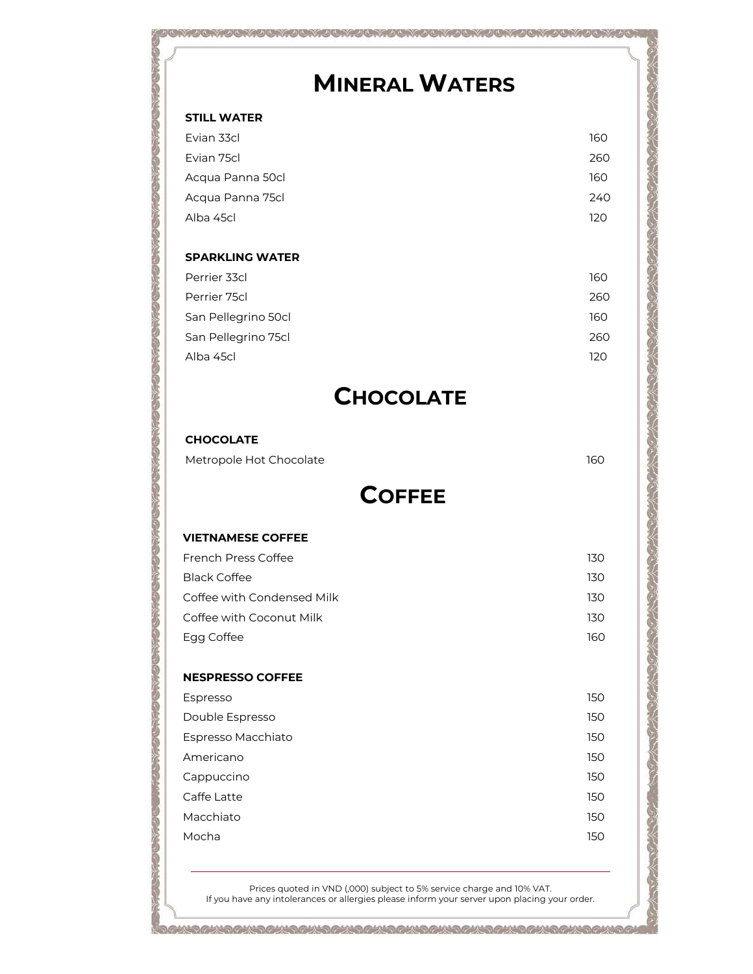### **MINERAL WATERS**

#### **STILL WATER**

| Evian 33cl       | 160 |
|------------------|-----|
| Evian 75cl       | 260 |
| Acqua Panna 50cl | 160 |
| Acqua Panna 75cl | 240 |
| Alba 45cl        | 120 |
|                  |     |

### **SPARKLING WATER**

| Perrier 33cl        | 160 |
|---------------------|-----|
| Perrier 75cl        | 260 |
| San Pellegrino 50cl | 160 |
| San Pellegrino 75cl | 260 |
| Alba 45cl           | 120 |

### **CHOCOLATE**

### **CHOCOLATE**

Metropole Hot Chocolate 160

### **COFFEE**

### **VIETNAMESE COFFEE** French Press Coffee 130 Black Coffee 2008 130 and 2008 130 and 2008 130 and 2008 130 and 2008 130 and 2008 130 and 2008 130 and 2008 130 and 2008 130 and 2008 130 and 2008 130 and 2008 130 and 2008 130 and 2008 130 and 2008 130 and 2008 130 and 2 Coffee with Condensed Milk 130 Coffee with Coconut Milk 130 Egg Coffee 160

### **NESPRESSO COFFEE**

| Espresso           | 150 |
|--------------------|-----|
| Double Espresso    | 150 |
| Espresso Macchiato | 150 |
| Americano          | 150 |
| Cappuccino         | 150 |
| Caffe Latte        | 150 |
| Macchiato          | 150 |
| Mocha              | 150 |
|                    |     |

Prices quoted in VND (,000) subject to 5% service charge and 10% VAT. If you have any intolerances or allergies please inform your server upon placing your order.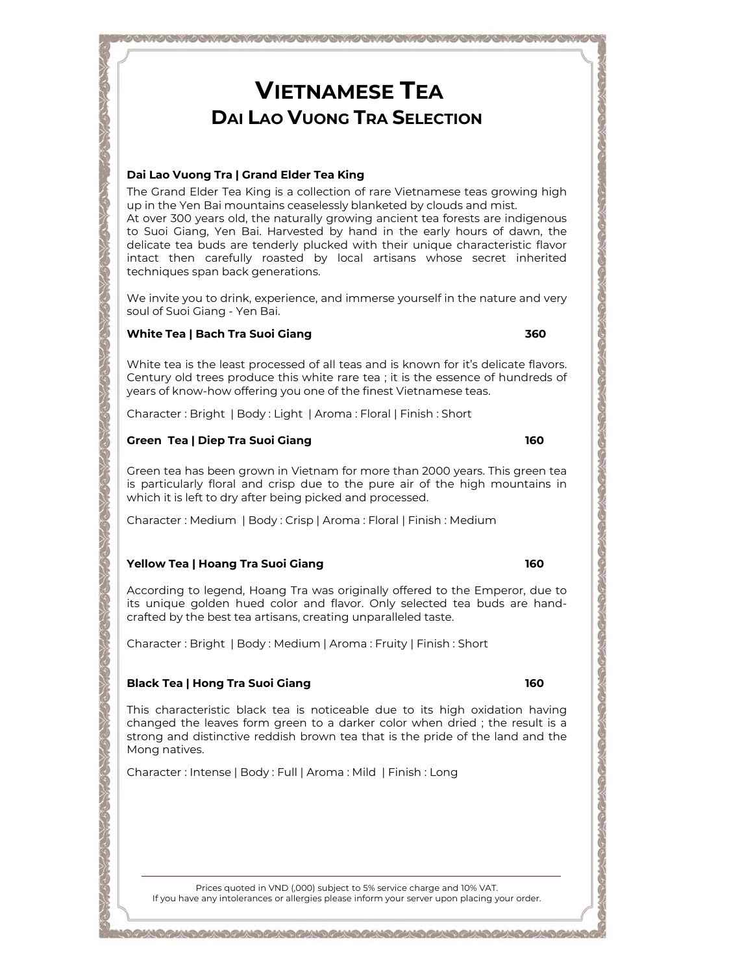# **VIETNAMESE TEA DAI LAO VUONG TRA SELECTION**

#### **Dai Lao Vuong Tra | Grand Elder Tea King**

The Grand Elder Tea King is a collection of rare Vietnamese teas growing high up in the Yen Bai mountains ceaselessly blanketed by clouds and mist. At over 300 years old, the naturally growing ancient tea forests are indigenous to Suoi Giang, Yen Bai. Harvested by hand in the early hours of dawn, the delicate tea buds are tenderly plucked with their unique characteristic flavor intact then carefully roasted by local artisans whose secret inherited techniques span back generations.

We invite you to drink, experience, and immerse yourself in the nature and very soul of Suoi Giang - Yen Bai.

#### **White Tea | Bach Tra Suoi Giang 360**

White tea is the least processed of all teas and is known for it's delicate flavors. Century old trees produce this white rare tea ; it is the essence of hundreds of years of know-how offering you one of the finest Vietnamese teas.

Character : Bright | Body : Light | Aroma : Floral | Finish : Short

#### **Green Tea | Diep Tra Suoi Giang 160**

Green tea has been grown in Vietnam for more than 2000 years. This green tea is particularly floral and crisp due to the pure air of the high mountains in which it is left to dry after being picked and processed.

Character : Medium | Body : Crisp | Aroma : Floral | Finish : Medium

#### **Yellow Tea | Hoang Tra Suoi Giang 160**

According to legend, Hoang Tra was originally offered to the Emperor, due to its unique golden hued color and flavor. Only selected tea buds are handcrafted by the best tea artisans, creating unparalleled taste.

Character : Bright | Body : Medium | Aroma : Fruity | Finish : Short

#### **Black Tea | Hong Tra Suoi Giang 160<br>160**

This characteristic black tea is noticeable due to its high oxidation having changed the leaves form green to a darker color when dried ; the result is a strong and distinctive reddish brown tea that is the pride of the land and the Mong natives.

Character : Intense | Body : Full | Aroma : Mild | Finish : Long

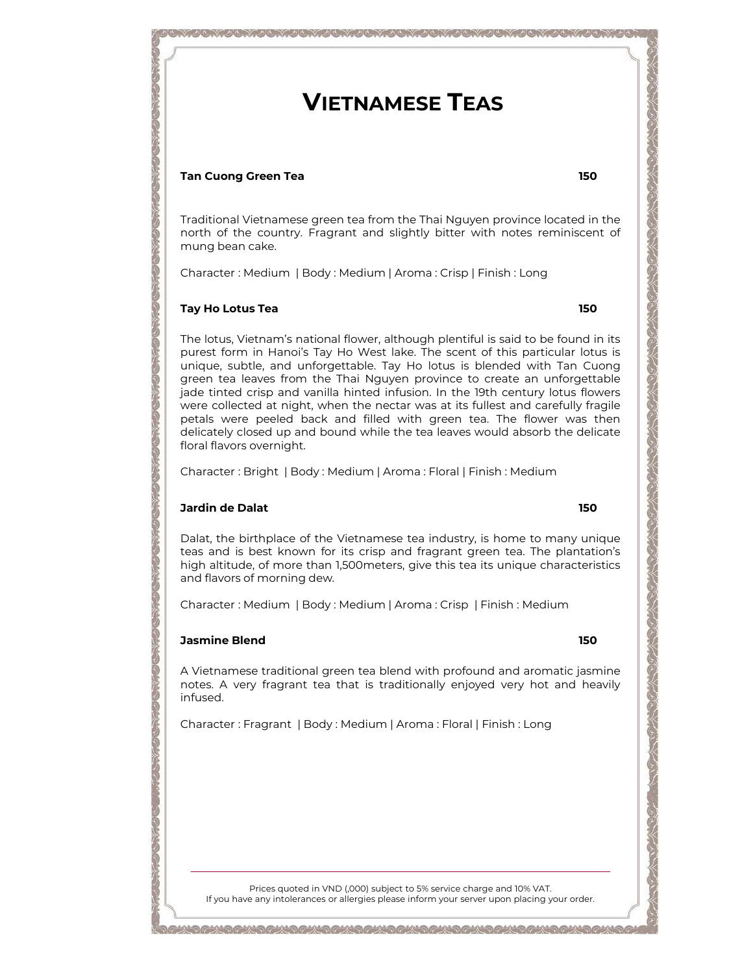### **VIETNAMESE TEAS**

#### **Tan Cuong Green Tea 150**

Traditional Vietnamese green tea from the Thai Nguyen province located in the north of the country. Fragrant and slightly bitter with notes reminiscent of mung bean cake.

Character : Medium | Body : Medium | Aroma : Crisp | Finish : Long

#### **Tay Ho Lotus Tea 150**

The lotus, Vietnam's national flower, although plentiful is said to be found in its purest form in Hanoi's Tay Ho West lake. The scent of this particular lotus is unique, subtle, and unforgettable. Tay Ho lotus is blended with Tan Cuong green tea leaves from the Thai Nguyen province to create an unforgettable jade tinted crisp and vanilla hinted infusion. In the 19th century lotus flowers were collected at night, when the nectar was at its fullest and carefully fragile petals were peeled back and filled with green tea. The flower was then delicately closed up and bound while the tea leaves would absorb the delicate floral flavors overnight.

Character : Bright | Body : Medium | Aroma : Floral | Finish : Medium

#### **Jardin de Dalat 150**

Dalat, the birthplace of the Vietnamese tea industry, is home to many unique teas and is best known for its crisp and fragrant green tea. The plantation's high altitude, of more than 1,500meters, give this tea its unique characteristics and flavors of morning dew*.*

Character : Medium | Body : Medium | Aroma : Crisp | Finish : Medium

#### **Jasmine Blend 150**

A Vietnamese traditional green tea blend with profound and aromatic jasmine notes. A very fragrant tea that is traditionally enjoyed very hot and heavily infused.

Character : Fragrant | Body : Medium | Aroma : Floral | Finish : Long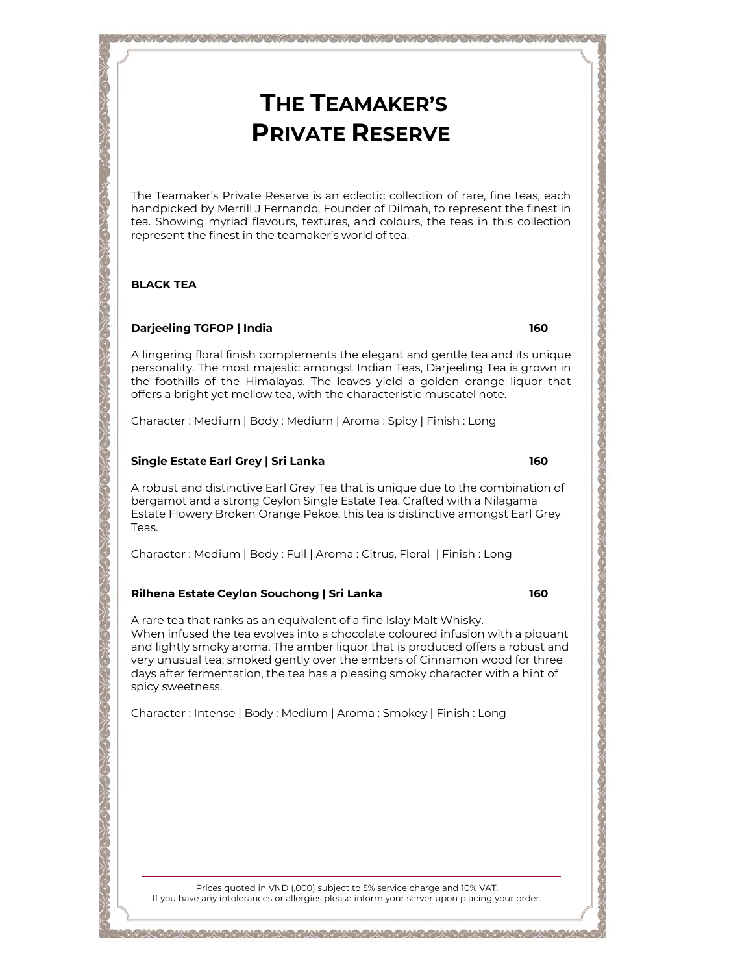The Teamaker's Private Reserve is an eclectic collection of rare, fine teas, each handpicked by Merrill J Fernando, Founder of Dilmah, to represent the finest in tea. Showing myriad flavours, textures, and colours, the teas in this collection represent the finest in the teamaker's world of tea.

#### **BLACK TEA**

#### **Darjeeling TGFOP | India 160**

A lingering floral finish complements the elegant and gentle tea and its unique personality. The most majestic amongst Indian Teas, Darjeeling Tea is grown in the foothills of the Himalayas. The leaves yield a golden orange liquor that offers a bright yet mellow tea, with the characteristic muscatel note.

Character : Medium | Body : Medium | Aroma : Spicy | Finish : Long

#### **Single Estate Earl Grey | Sri Lanka 160**

A robust and distinctive Earl Grey Tea that is unique due to the combination of bergamot and a strong Ceylon Single Estate Tea. Crafted with a Nilagama Estate Flowery Broken Orange Pekoe, this tea is distinctive amongst Earl Grey Teas.

Character : Medium | Body : Full | Aroma : Citrus, Floral | Finish : Long

#### **Rilhena Estate Ceylon Souchong | Sri Lanka 160**

**CONCRETE CONCRETE** 

A rare tea that ranks as an equivalent of a fine Islay Malt Whisky. When infused the tea evolves into a chocolate coloured infusion with a piquant and lightly smoky aroma. The amber liquor that is produced offers a robust and very unusual tea; smoked gently over the embers of Cinnamon wood for three days after fermentation, the tea has a pleasing smoky character with a hint of spicy sweetness.

Character : Intense | Body : Medium | Aroma : Smokey | Finish : Long

Prices quoted in VND (,000) subject to 5% service charge and 10% VAT. If you have any intolerances or allergies please inform your server upon placing your order.

™™™™™™™™™™™™™™™™™™™™™™™™™™™™™™™™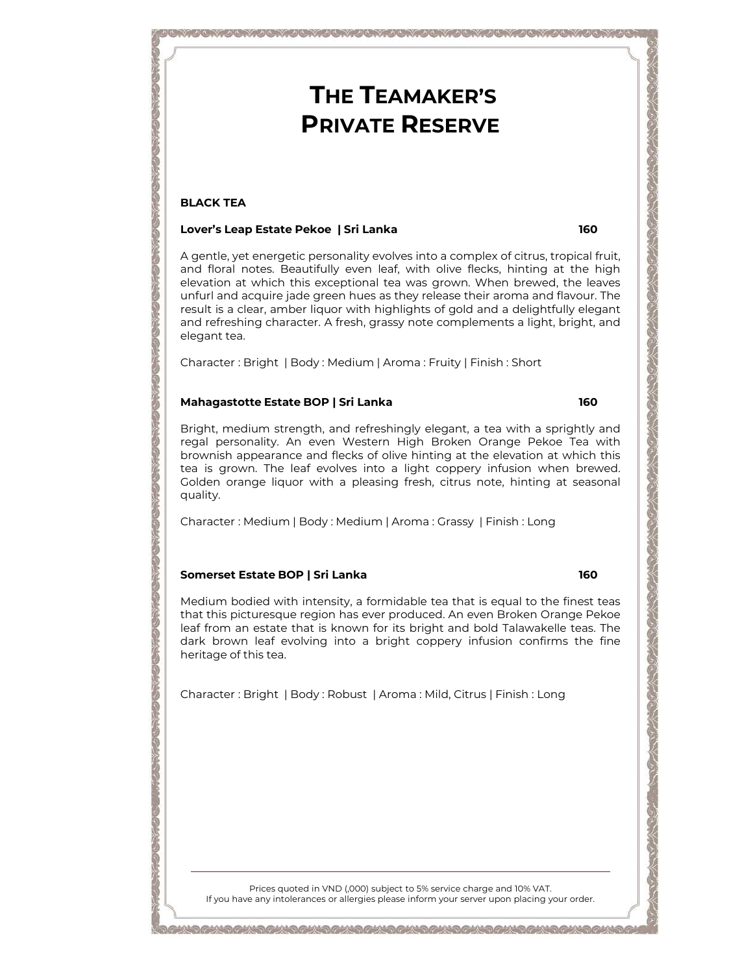#### **BLACK TEA**

#### **Lover's Leap Estate Pekoe | Sri Lanka 160**

A gentle, yet energetic personality evolves into a complex of citrus, tropical fruit, and floral notes. Beautifully even leaf, with olive flecks, hinting at the high elevation at which this exceptional tea was grown. When brewed, the leaves unfurl and acquire jade green hues as they release their aroma and flavour. The result is a clear, amber liquor with highlights of gold and a delightfully elegant and refreshing character. A fresh, grassy note complements a light, bright, and elegant tea.

Character : Bright | Body : Medium | Aroma : Fruity | Finish : Short

#### **Mahagastotte Estate BOP | Sri Lanka 160**

Bright, medium strength, and refreshingly elegant, a tea with a sprightly and regal personality. An even Western High Broken Orange Pekoe Tea with brownish appearance and flecks of olive hinting at the elevation at which this tea is grown. The leaf evolves into a light coppery infusion when brewed. Golden orange liquor with a pleasing fresh, citrus note, hinting at seasonal quality.

Character : Medium | Body : Medium | Aroma : Grassy | Finish : Long

#### **Somerset Estate BOP | Sri Lanka 160**

Medium bodied with intensity, a formidable tea that is equal to the finest teas that this picturesque region has ever produced. An even Broken Orange Pekoe leaf from an estate that is known for its bright and bold Talawakelle teas. The dark brown leaf evolving into a bright coppery infusion confirms the fine heritage of this tea.

Character : Bright | Body : Robust | Aroma : Mild, Citrus | Finish : Long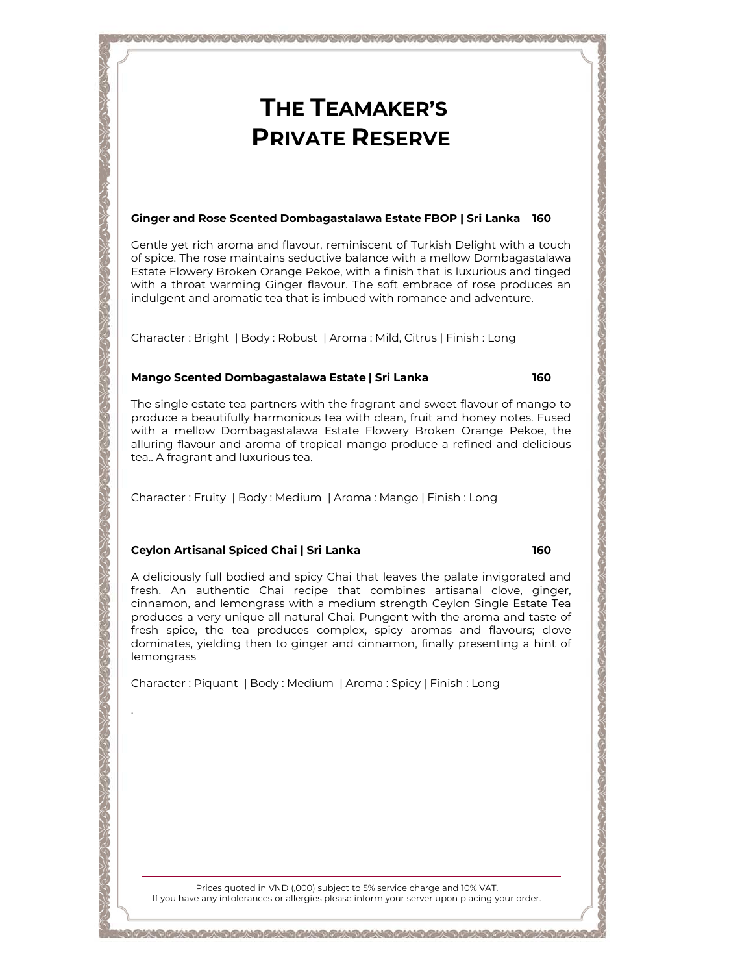#### **Ginger and Rose Scented Dombagastalawa Estate FBOP | Sri Lanka 160**

Gentle yet rich aroma and flavour, reminiscent of Turkish Delight with a touch of spice. The rose maintains seductive balance with a mellow Dombagastalawa Estate Flowery Broken Orange Pekoe, with a finish that is luxurious and tinged with a throat warming Ginger flavour. The soft embrace of rose produces an indulgent and aromatic tea that is imbued with romance and adventure.

Character : Bright | Body : Robust | Aroma : Mild, Citrus | Finish : Long

#### **Mango Scented Dombagastalawa Estate | Sri Lanka 160**

The single estate tea partners with the fragrant and sweet flavour of mango to produce a beautifully harmonious tea with clean, fruit and honey notes. Fused with a mellow Dombagastalawa Estate Flowery Broken Orange Pekoe, the alluring flavour and aroma of tropical mango produce a refined and delicious tea.. A fragrant and luxurious tea.

Character : Fruity | Body : Medium | Aroma : Mango | Finish : Long

#### **Ceylon Artisanal Spiced Chai | Sri Lanka 160**

.

A deliciously full bodied and spicy Chai that leaves the palate invigorated and fresh. An authentic Chai recipe that combines artisanal clove, ginger, cinnamon, and lemongrass with a medium strength Ceylon Single Estate Tea produces a very unique all natural Chai. Pungent with the aroma and taste of fresh spice, the tea produces complex, spicy aromas and flavours; clove dominates, yielding then to ginger and cinnamon, finally presenting a hint of lemongrass

Character : Piquant | Body : Medium | Aroma : Spicy | Finish : Long

Prices quoted in VND (,000) subject to 5% service charge and 10% VAT. If you have any intolerances or allergies please inform your server upon placing your order.

™™™™™™™™™™™™™™™™™™™™™™™™™™™™™™™™™™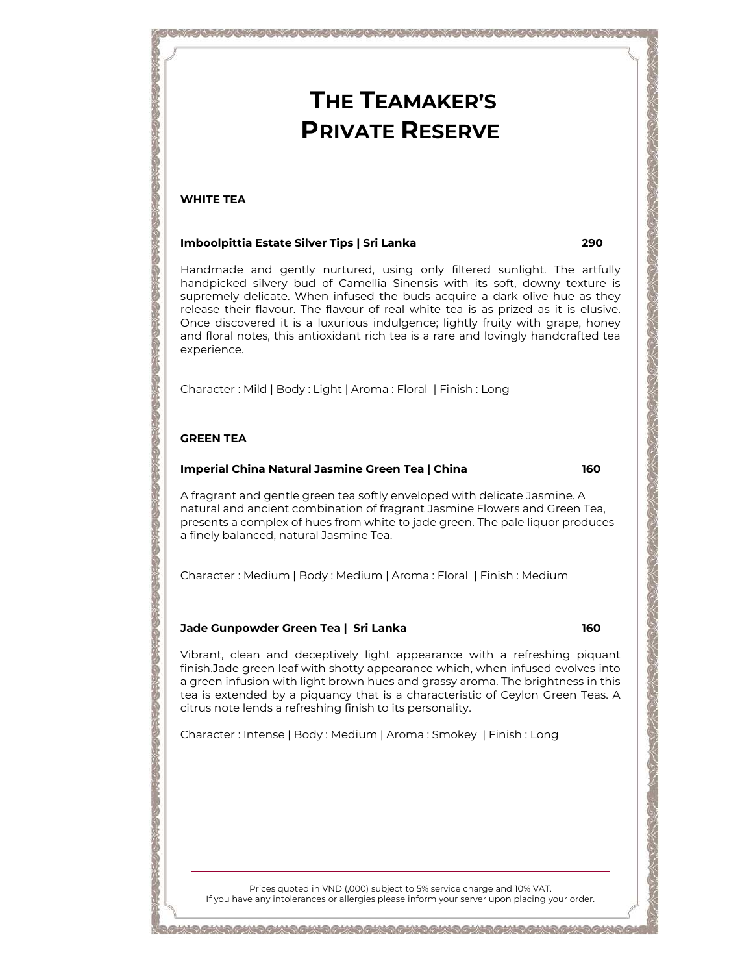#### **WHITE TEA**

#### **Imboolpittia Estate Silver Tips | Sri Lanka 290**

Handmade and gently nurtured, using only filtered sunlight. The artfully handpicked silvery bud of Camellia Sinensis with its soft, downy texture is supremely delicate. When infused the buds acquire a dark olive hue as they release their flavour. The flavour of real white tea is as prized as it is elusive. Once discovered it is a luxurious indulgence; lightly fruity with grape, honey and floral notes, this antioxidant rich tea is a rare and lovingly handcrafted tea experience.

Character : Mild | Body : Light | Aroma : Floral | Finish : Long

#### **GREEN TEA**

#### **Imperial China Natural Jasmine Green Tea | China 160**

A fragrant and gentle green tea softly enveloped with delicate Jasmine. A natural and ancient combination of fragrant Jasmine Flowers and Green Tea, presents a complex of hues from white to jade green. The pale liquor produces a finely balanced, natural Jasmine Tea.

Character : Medium | Body : Medium | Aroma : Floral | Finish : Medium

#### **Jade Gunpowder Green Tea | Sri Lanka 160**

Vibrant, clean and deceptively light appearance with a refreshing piquant finish.Jade green leaf with shotty appearance which, when infused evolves into a green infusion with light brown hues and grassy aroma. The brightness in this tea is extended by a piquancy that is a characteristic of Ceylon Green Teas. A citrus note lends a refreshing finish to its personality.

Character : Intense | Body : Medium | Aroma : Smokey | Finish : Long